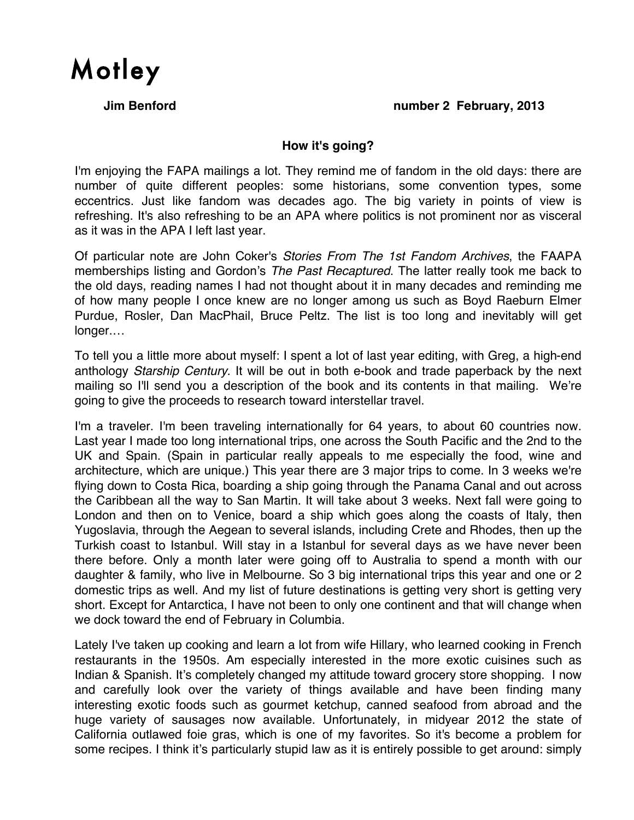

#### **Jim Benford number 2 February, 2013**

### **How it's going?**

I'm enjoying the FAPA mailings a lot. They remind me of fandom in the old days: there are number of quite different peoples: some historians, some convention types, some eccentrics. Just like fandom was decades ago. The big variety in points of view is refreshing. It's also refreshing to be an APA where politics is not prominent nor as visceral as it was in the APA I left last year.

Of particular note are John Coker's *Stories From The 1st Fandom Archives*, the FAAPA memberships listing and Gordon's *The Past Recaptured*. The latter really took me back to the old days, reading names I had not thought about it in many decades and reminding me of how many people I once knew are no longer among us such as Boyd Raeburn Elmer Purdue, Rosler, Dan MacPhail, Bruce Peltz. The list is too long and inevitably will get longer.…

To tell you a little more about myself: I spent a lot of last year editing, with Greg, a high-end anthology *Starship Century*. It will be out in both e-book and trade paperback by the next mailing so I'll send you a description of the book and its contents in that mailing. We're going to give the proceeds to research toward interstellar travel.

I'm a traveler. I'm been traveling internationally for 64 years, to about 60 countries now. Last year I made too long international trips, one across the South Pacific and the 2nd to the UK and Spain. (Spain in particular really appeals to me especially the food, wine and architecture, which are unique.) This year there are 3 major trips to come. In 3 weeks we're flying down to Costa Rica, boarding a ship going through the Panama Canal and out across the Caribbean all the way to San Martin. It will take about 3 weeks. Next fall were going to London and then on to Venice, board a ship which goes along the coasts of Italy, then Yugoslavia, through the Aegean to several islands, including Crete and Rhodes, then up the Turkish coast to Istanbul. Will stay in a Istanbul for several days as we have never been there before. Only a month later were going off to Australia to spend a month with our daughter & family, who live in Melbourne. So 3 big international trips this year and one or 2 domestic trips as well. And my list of future destinations is getting very short is getting very short. Except for Antarctica, I have not been to only one continent and that will change when we dock toward the end of February in Columbia.

Lately I've taken up cooking and learn a lot from wife Hillary, who learned cooking in French restaurants in the 1950s. Am especially interested in the more exotic cuisines such as Indian & Spanish. It's completely changed my attitude toward grocery store shopping. I now and carefully look over the variety of things available and have been finding many interesting exotic foods such as gourmet ketchup, canned seafood from abroad and the huge variety of sausages now available. Unfortunately, in midyear 2012 the state of California outlawed foie gras, which is one of my favorites. So it's become a problem for some recipes. I think it's particularly stupid law as it is entirely possible to get around: simply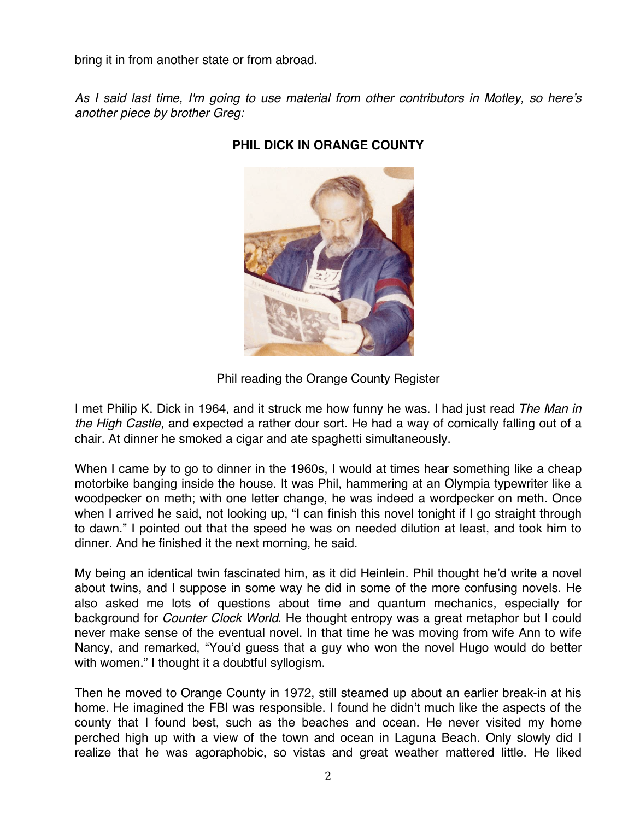bring it in from another state or from abroad.

*As I said last time, I'm going to use material from other contributors in Motley, so here*'*s another piece by brother Greg:*



# **PHIL DICK IN ORANGE COUNTY**

I met Philip K. Dick in 1964, and it struck me how funny he was. I had just read *The Man in the High Castle,* and expected a rather dour sort. He had a way of comically falling out of a chair. At dinner he smoked a cigar and ate spaghetti simultaneously.

When I came by to go to dinner in the 1960s, I would at times hear something like a cheap motorbike banging inside the house. It was Phil, hammering at an Olympia typewriter like a woodpecker on meth; with one letter change, he was indeed a wordpecker on meth. Once when I arrived he said, not looking up, "I can finish this novel tonight if I go straight through to dawn." I pointed out that the speed he was on needed dilution at least, and took him to dinner. And he finished it the next morning, he said.

My being an identical twin fascinated him, as it did Heinlein. Phil thought he'd write a novel about twins, and I suppose in some way he did in some of the more confusing novels. He also asked me lots of questions about time and quantum mechanics, especially for background for *Counter Clock World*. He thought entropy was a great metaphor but I could never make sense of the eventual novel. In that time he was moving from wife Ann to wife Nancy, and remarked, "You'd guess that a guy who won the novel Hugo would do better with women." I thought it a doubtful syllogism.

Then he moved to Orange County in 1972, still steamed up about an earlier break-in at his home. He imagined the FBI was responsible. I found he didn't much like the aspects of the county that I found best, such as the beaches and ocean. He never visited my home perched high up with a view of the town and ocean in Laguna Beach. Only slowly did I realize that he was agoraphobic, so vistas and great weather mattered little. He liked

Phil reading the Orange County Register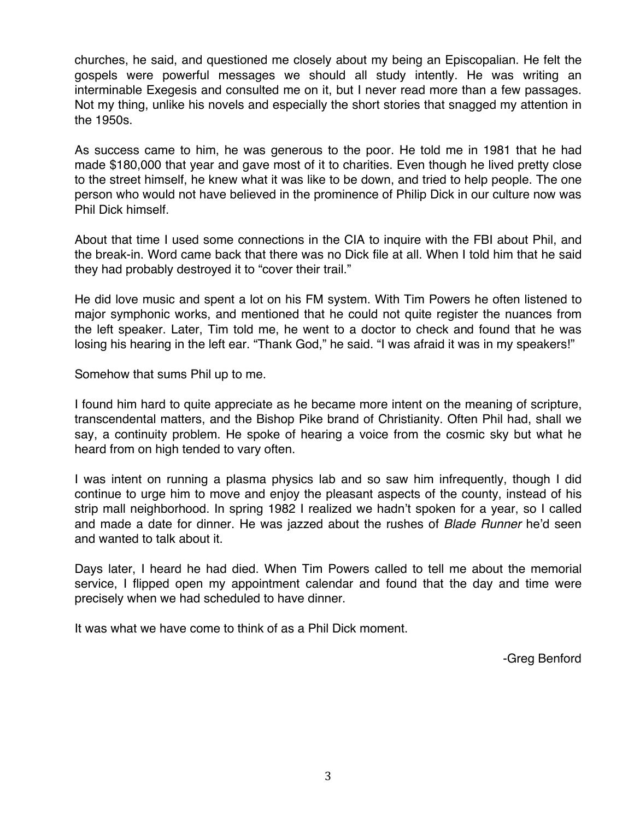churches, he said, and questioned me closely about my being an Episcopalian. He felt the gospels were powerful messages we should all study intently. He was writing an interminable Exegesis and consulted me on it, but I never read more than a few passages. Not my thing, unlike his novels and especially the short stories that snagged my attention in the 1950s.

As success came to him, he was generous to the poor. He told me in 1981 that he had made \$180,000 that year and gave most of it to charities. Even though he lived pretty close to the street himself, he knew what it was like to be down, and tried to help people. The one person who would not have believed in the prominence of Philip Dick in our culture now was Phil Dick himself.

About that time I used some connections in the CIA to inquire with the FBI about Phil, and the break-in. Word came back that there was no Dick file at all. When I told him that he said they had probably destroyed it to "cover their trail."

He did love music and spent a lot on his FM system. With Tim Powers he often listened to major symphonic works, and mentioned that he could not quite register the nuances from the left speaker. Later, Tim told me, he went to a doctor to check and found that he was losing his hearing in the left ear. "Thank God," he said. "I was afraid it was in my speakers!"

Somehow that sums Phil up to me.

I found him hard to quite appreciate as he became more intent on the meaning of scripture, transcendental matters, and the Bishop Pike brand of Christianity. Often Phil had, shall we say, a continuity problem. He spoke of hearing a voice from the cosmic sky but what he heard from on high tended to vary often.

I was intent on running a plasma physics lab and so saw him infrequently, though I did continue to urge him to move and enjoy the pleasant aspects of the county, instead of his strip mall neighborhood. In spring 1982 I realized we hadn't spoken for a year, so I called and made a date for dinner. He was jazzed about the rushes of *Blade Runner* he'd seen and wanted to talk about it.

Days later, I heard he had died. When Tim Powers called to tell me about the memorial service, I flipped open my appointment calendar and found that the day and time were precisely when we had scheduled to have dinner.

It was what we have come to think of as a Phil Dick moment.

-Greg Benford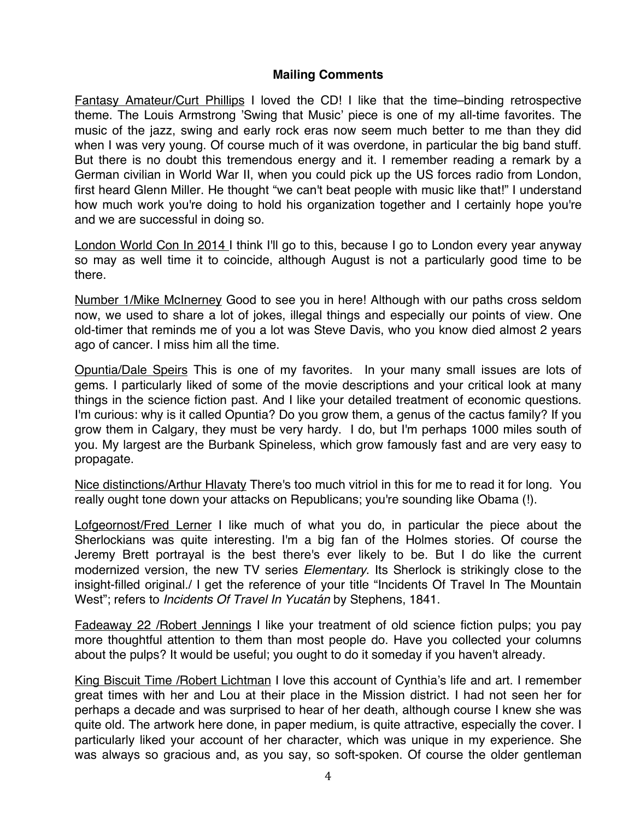## **Mailing Comments**

Fantasy Amateur/Curt Phillips I loved the CD! I like that the time–binding retrospective theme. The Louis Armstrong 'Swing that Music' piece is one of my all-time favorites. The music of the jazz, swing and early rock eras now seem much better to me than they did when I was very young. Of course much of it was overdone, in particular the big band stuff. But there is no doubt this tremendous energy and it. I remember reading a remark by a German civilian in World War II, when you could pick up the US forces radio from London, first heard Glenn Miller. He thought "we can't beat people with music like that!" I understand how much work you're doing to hold his organization together and I certainly hope you're and we are successful in doing so.

London World Con In 2014 I think I'll go to this, because I go to London every year anyway so may as well time it to coincide, although August is not a particularly good time to be there.

Number 1/Mike McInerney Good to see you in here! Although with our paths cross seldom now, we used to share a lot of jokes, illegal things and especially our points of view. One old-timer that reminds me of you a lot was Steve Davis, who you know died almost 2 years ago of cancer. I miss him all the time.

Opuntia/Dale Speirs This is one of my favorites. In your many small issues are lots of gems. I particularly liked of some of the movie descriptions and your critical look at many things in the science fiction past. And I like your detailed treatment of economic questions. I'm curious: why is it called Opuntia? Do you grow them, a genus of the cactus family? If you grow them in Calgary, they must be very hardy. I do, but I'm perhaps 1000 miles south of you. My largest are the Burbank Spineless, which grow famously fast and are very easy to propagate.

Nice distinctions/Arthur Hlavaty There's too much vitriol in this for me to read it for long. You really ought tone down your attacks on Republicans; you're sounding like Obama (!).

Lofgeornost/Fred Lerner I like much of what you do, in particular the piece about the Sherlockians was quite interesting. I'm a big fan of the Holmes stories. Of course the Jeremy Brett portrayal is the best there's ever likely to be. But I do like the current modernized version, the new TV series *Elementary*. Its Sherlock is strikingly close to the insight-filled original./ I get the reference of your title "Incidents Of Travel In The Mountain West"; refers to *Incidents Of Travel In Yucatán* by Stephens, 1841.

Fadeaway 22 /Robert Jennings I like your treatment of old science fiction pulps; you pay more thoughtful attention to them than most people do. Have you collected your columns about the pulps? It would be useful; you ought to do it someday if you haven't already.

King Biscuit Time /Robert Lichtman I love this account of Cynthia's life and art. I remember great times with her and Lou at their place in the Mission district. I had not seen her for perhaps a decade and was surprised to hear of her death, although course I knew she was quite old. The artwork here done, in paper medium, is quite attractive, especially the cover. I particularly liked your account of her character, which was unique in my experience. She was always so gracious and, as you say, so soft-spoken. Of course the older gentleman